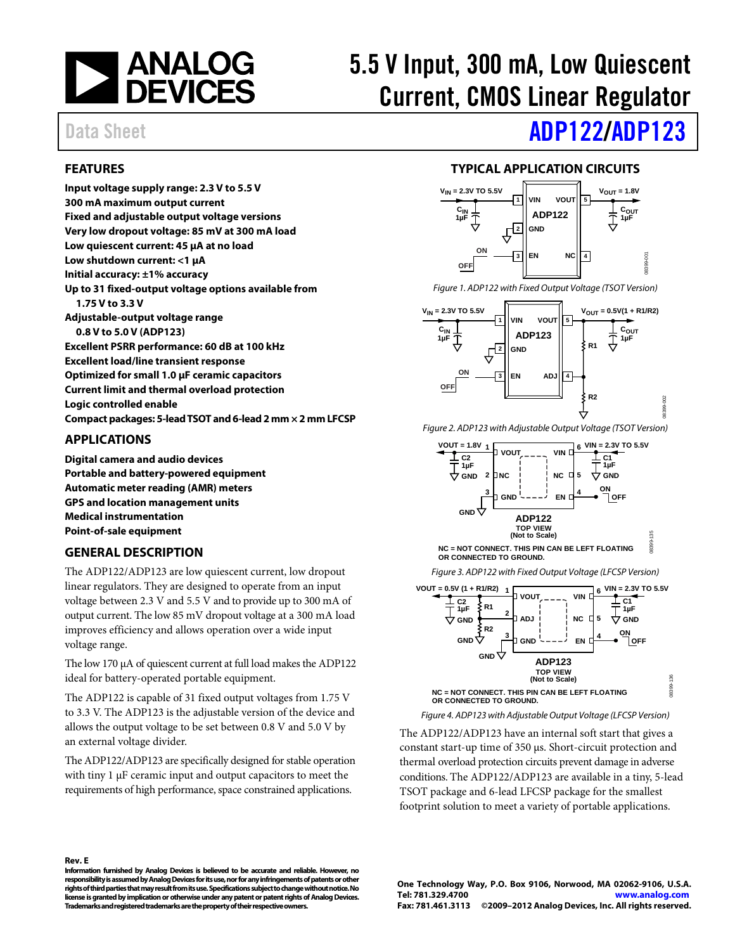

# 5.5 V Input, 300 mA, Low Quiescent Current, CMOS Linear Regulator

# Data Sheet **[ADP122/](http://www.analog.com/ADP122)[ADP123](http://www.analog.com/ADP123)**

## <span id="page-0-0"></span>**FEATURES**

**Input voltage supply range: 2.3 V to 5.5 V 300 mA maximum output current Fixed and adjustable output voltage versions Very low dropout voltage: 85 mV at 300 mA load Low quiescent current: 45 µA at no load Low shutdown current: <1 µA Initial accuracy: ±1% accuracy Up to 31 fixed-output voltage options available from 1.75 V to 3.3 V Adjustable-output voltage range 0.8 V to 5.0 V (ADP123) Excellent PSRR performance: 60 dB at 100 kHz Excellent load/line transient response Optimized for small 1.0 μF ceramic capacitors Current limit and thermal overload protection Logic controlled enable Compact packages: 5-lead TSOT and 6-lead 2 mm × 2 mm LFCSP**

## <span id="page-0-1"></span>**APPLICATIONS**

**Digital camera and audio devices Portable and battery-powered equipment Automatic meter reading (AMR) meters GPS and location management units Medical instrumentation Point-of-sale equipment**

## <span id="page-0-2"></span>**GENERAL DESCRIPTION**

The ADP122/ADP123 are low quiescent current, low dropout linear regulators. They are designed to operate from an input voltage between 2.3 V and 5.5 V and to provide up to 300 mA of output current. The low 85 mV dropout voltage at a 300 mA load improves efficiency and allows operation over a wide input voltage range.

The low 170 μA of quiescent current at full load makes the ADP122 ideal for battery-operated portable equipment.

The ADP122 is capable of 31 fixed output voltages from 1.75 V to 3.3 V. The ADP123 is the adjustable version of the device and allows the output voltage to be set between 0.8 V and 5.0 V by an external voltage divider.

The ADP122/ADP123 are specifically designed for stable operation with tiny 1  $\mu$ F ceramic input and output capacitors to meet the requirements of high performance, space constrained applications.

## **TYPICAL APPLICATION CIRCUITS**

<span id="page-0-3"></span>

*Figure 1. ADP122 with Fixed Output Voltage (TSOT Version)*



<span id="page-0-4"></span>*Figure 2. ADP123 with Adjustable Output Voltage (TSOT Version)*





*Figure 3. ADP122 with Fixed Output Voltage (LFCSP Version)*



*Figure 4. ADP123 with Adjustable Output Voltage (LFCSP Version)*

The ADP122/ADP123 have an internal soft start that gives a constant start-up time of 350 µs. Short-circuit protection and thermal overload protection circuits prevent damage in adverse conditions. The ADP122/ADP123 are available in a tiny, 5-lead TSOT package and 6-lead LFCSP package for the smallest footprint solution to meet a variety of portable applications.

## **Rev. E**

**Information furnished by Analog Devices is believed to be accurate and reliable. However, no responsibility is assumed by Analog Devices for its use, nor for any infringements of patents or other rights of third parties that may result from its use. Specifications subject to change without notice. No license is granted by implication or otherwise under any patent or patent rights of Analog Devices. Trademarks and registered trademarks are the property of their respective owners.**

**One Technology Way, P.O. Box 9106, Norwood, MA 02062-9106, U.S.A. Tel: 781.329.4700 [www.analog.com](http://www.analog.com/) Fax: 781.461.3113 ©2009–2012 Analog Devices, Inc. All rights reserved.**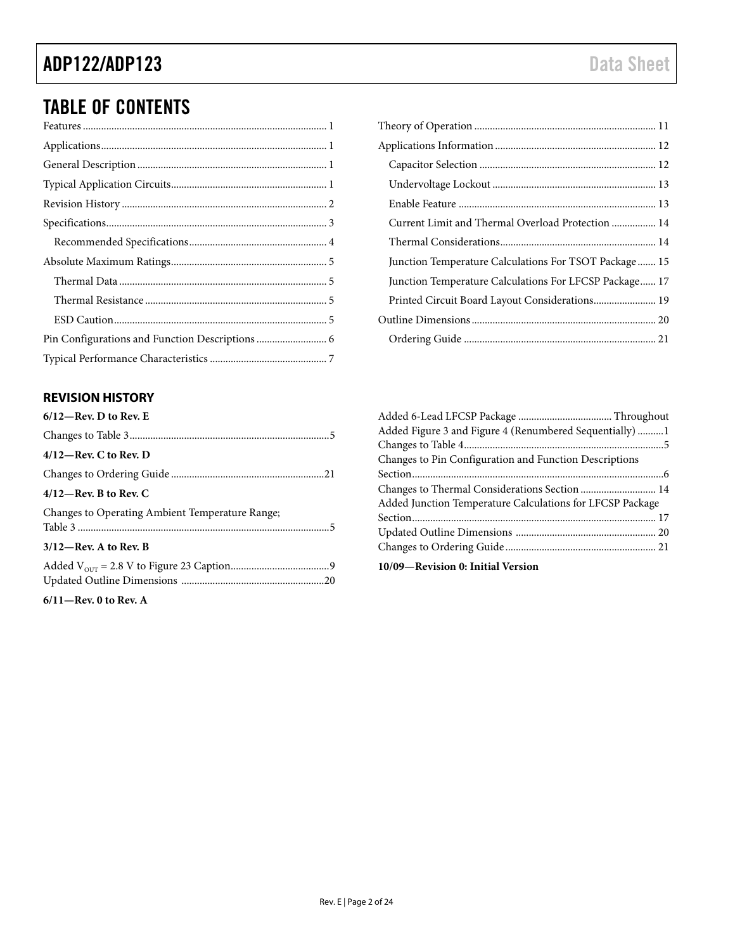# TABLE OF CONTENTS

## <span id="page-1-0"></span>**REVISION HISTORY**

| $6/12$ —Rev. D to Rev. E                        |
|-------------------------------------------------|
|                                                 |
| $4/12$ —Rev. C to Rev. D                        |
|                                                 |
| $4/12$ —Rev. B to Rev. C                        |
| Changes to Operating Ambient Temperature Range; |
| $3/12$ —Rev. A to Rev. B                        |
|                                                 |

**6/11—Rev. 0 to Rev. A**

| Current Limit and Thermal Overload Protection  14      |
|--------------------------------------------------------|
|                                                        |
| Junction Temperature Calculations For TSOT Package 15  |
| Junction Temperature Calculations For LFCSP Package 17 |
| Printed Circuit Board Layout Considerations 19         |
|                                                        |
|                                                        |

| Added Figure 3 and Figure 4 (Renumbered Sequentially) 1   |  |
|-----------------------------------------------------------|--|
|                                                           |  |
| Changes to Pin Configuration and Function Descriptions    |  |
|                                                           |  |
|                                                           |  |
| Added Junction Temperature Calculations for LFCSP Package |  |
|                                                           |  |
|                                                           |  |
|                                                           |  |
| 10/09-Revision 0: Initial Version                         |  |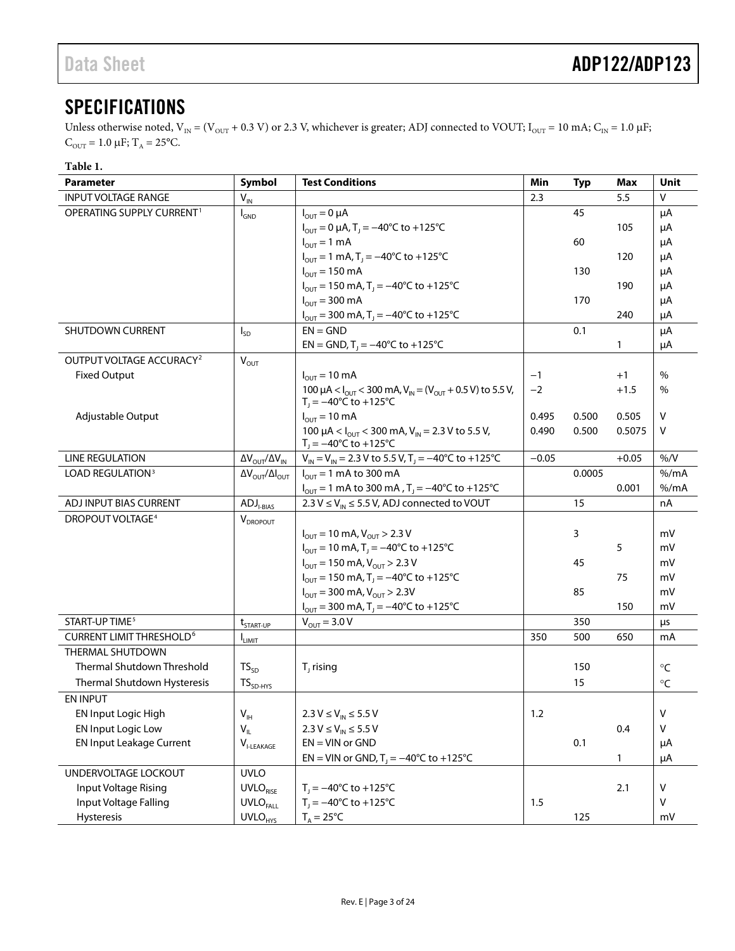# <span id="page-2-0"></span>**SPECIFICATIONS**

Unless otherwise noted,  $V_{IN} = (V_{OUT} + 0.3 V)$  or 2.3 V, whichever is greater; ADJ connected to VOUT;  $I_{OUT} = 10$  mA;  $C_{IN} = 1.0 \mu F$ ;  $C_{\text{OUT}} = 1.0 \mu\text{F}; T_A = 25\text{°C}.$ 

## **Table 1.**

| Parameter                                  | Symbol                                        | <b>Test Conditions</b>                                                                                                              | Min     | Typ    | Max     | Unit          |
|--------------------------------------------|-----------------------------------------------|-------------------------------------------------------------------------------------------------------------------------------------|---------|--------|---------|---------------|
| <b>INPUT VOLTAGE RANGE</b>                 | $V_{\text{IN}}$                               |                                                                                                                                     | 2.3     |        | 5.5     | v             |
| OPERATING SUPPLY CURRENT <sup>1</sup>      | $I_{GND}$                                     | $I_{\text{OUT}} = 0 \mu A$                                                                                                          |         | 45     |         | μA            |
|                                            |                                               | $I_{\text{OUT}} = 0 \mu A$ , T <sub>1</sub> = -40°C to +125°C                                                                       |         |        | 105     | μA            |
|                                            |                                               | $I_{\text{OUT}} = 1 \text{ mA}$                                                                                                     |         | 60     |         | μA            |
|                                            |                                               | $I_{\text{OUT}} = 1 \text{ mA}$ , T <sub>1</sub> = -40°C to +125°C                                                                  |         |        | 120     | μA            |
|                                            |                                               | $I_{OUT} = 150 \text{ mA}$                                                                                                          |         | 130    |         | μA            |
|                                            |                                               | $I_{\text{OUT}} = 150 \text{ mA}$ , T <sub>1</sub> = -40°C to +125°C                                                                |         |        | 190     | μA            |
|                                            |                                               | $I_{OUT}$ = 300 mA                                                                                                                  |         | 170    |         | μA            |
|                                            |                                               | $I_{\text{OUT}}$ = 300 mA, T <sub>J</sub> = -40°C to +125°C                                                                         |         |        | 240     | μA            |
| SHUTDOWN CURRENT                           | $I_{SD}$                                      | $EN = GND$                                                                                                                          |         | 0.1    |         | μA            |
|                                            |                                               | EN = GND, $T_1 = -40^{\circ}C$ to +125°C                                                                                            |         |        | 1       | μA            |
| OUTPUT VOLTAGE ACCURACY <sup>2</sup>       | $V_{OUT}$                                     |                                                                                                                                     |         |        |         |               |
| <b>Fixed Output</b>                        |                                               | $I_{OUT} = 10 \text{ mA}$                                                                                                           | $-1$    |        | $+1$    | $\frac{0}{0}$ |
|                                            |                                               | 100 $\mu$ A < $I_{\text{OUT}}$ < 300 mA, $V_{\text{IN}}$ = ( $V_{\text{OUT}}$ + 0.5 V) to 5.5 V,<br>$T_1 = -40^{\circ}$ C to +125°C | $-2$    |        | $+1.5$  | %             |
| Adjustable Output                          |                                               | $I_{OUT} = 10 \text{ mA}$                                                                                                           | 0.495   | 0.500  | 0.505   | V             |
|                                            |                                               | 100 $\mu$ A < $I_{\text{OUT}}$ < 300 mA, $V_{\text{IN}}$ = 2.3 V to 5.5 V,                                                          | 0.490   | 0.500  | 0.5075  | v             |
|                                            |                                               | $T_1 = -40^{\circ}C$ to $+125^{\circ}C$                                                                                             |         |        |         |               |
| <b>LINE REGULATION</b>                     | $\Delta V_{\text{OUT}}/\Delta V_{\text{IN}}$  | $V_{\text{IN}} = V_{\text{IN}} = 2.3 \text{ V}$ to 5.5 V, T <sub>1</sub> = -40°C to +125°C                                          | $-0.05$ |        | $+0.05$ | % / V         |
| <b>LOAD REGULATION3</b>                    | $\Delta V_{\text{OUT}}/\Delta I_{\text{OUT}}$ | $I_{OUT}$ = 1 mA to 300 mA                                                                                                          |         | 0.0005 |         | % /mA         |
|                                            |                                               | $I_{\text{OUT}} = 1 \text{ mA}$ to 300 mA, T <sub>J</sub> = -40°C to +125°C                                                         |         |        | 0.001   | $%$ /mA       |
| ADJ INPUT BIAS CURRENT                     | $ADJl-BIAS$                                   | 2.3 V $\leq$ V <sub>IN</sub> $\leq$ 5.5 V, ADJ connected to VOUT                                                                    |         | 15     |         | nA            |
| DROPOUT VOLTAGE <sup>4</sup>               | $V_{DROPOUT}$                                 |                                                                                                                                     |         |        |         |               |
|                                            |                                               | $I_{\text{OUT}} = 10 \text{ mA}$ , $V_{\text{OUT}} > 2.3 \text{ V}$                                                                 |         | 3      |         | mV            |
|                                            |                                               | $I_{\text{OUT}} = 10 \text{ mA}$ , T <sub>1</sub> = -40°C to +125°C                                                                 |         |        | 5       | mV            |
|                                            |                                               | $I_{\text{OUT}}$ = 150 mA, $V_{\text{OUT}}$ > 2.3 V                                                                                 |         | 45     |         | mV            |
|                                            |                                               | $I_{\text{OUT}} = 150 \text{ mA}$ , T <sub>1</sub> = -40°C to +125°C                                                                |         |        | 75      | mV            |
|                                            |                                               | $I_{\text{OUT}}$ = 300 mA, $V_{\text{OUT}}$ > 2.3V                                                                                  |         | 85     |         | mV            |
|                                            |                                               | $I_{\text{OUT}} = 300 \text{ mA}$ , T <sub>J</sub> = -40°C to +125°C                                                                |         |        | 150     | mV            |
| START-UP TIME <sup>5</sup>                 | t <sub>START-UP</sub>                         | $V_{OUT} = 3.0 V$                                                                                                                   |         | 350    |         | μs            |
| <b>CURRENT LIMIT THRESHOLD<sup>6</sup></b> | <b>LIMIT</b>                                  |                                                                                                                                     | 350     | 500    | 650     | mA            |
| THERMAL SHUTDOWN                           |                                               |                                                                                                                                     |         |        |         |               |
| Thermal Shutdown Threshold                 | $TS_{SD}$                                     | $T1$ rising                                                                                                                         |         | 150    |         | $^{\circ}$ C  |
| Thermal Shutdown Hysteresis                | $TS_{SD-HYS}$                                 |                                                                                                                                     |         | 15     |         | $^{\circ}$ C  |
| EN INPUT                                   |                                               |                                                                                                                                     |         |        |         |               |
| EN Input Logic High                        | $\mathsf{V}_{\mathsf{IH}}$                    | $2.3 V \leq V_{IN} \leq 5.5 V$                                                                                                      | 1.2     |        |         | $\mathsf V$   |
| <b>EN Input Logic Low</b>                  | $V_{IL}$                                      | $2.3 V \le V_{IN} \le 5.5 V$                                                                                                        |         |        | 0.4     | $\sf V$       |
| <b>EN Input Leakage Current</b>            | $\mathsf{V}_{\text{I-LEAKAGE}}$               | $EN = VIN$ or $GND$                                                                                                                 |         | 0.1    |         | μA            |
|                                            |                                               | EN = VIN or GND, $T_1 = -40^{\circ}C$ to +125°C                                                                                     |         |        | 1       | $\mu A$       |
| UNDERVOLTAGE LOCKOUT                       | <b>UVLO</b>                                   |                                                                                                                                     |         |        |         |               |
| Input Voltage Rising                       | <b>UVLO</b> RISE                              | $T_1 = -40^{\circ}C$ to $+125^{\circ}C$                                                                                             |         |        | 2.1     | V             |
| Input Voltage Falling                      | <b>UVLO</b> <sub>FALL</sub>                   | $T_1 = -40^{\circ}C$ to $+125^{\circ}C$                                                                                             | 1.5     |        |         | V             |
| Hysteresis                                 | <b>UVLO</b> <sub>HYS</sub>                    | $T_a = 25^{\circ}C$                                                                                                                 |         | 125    |         | mV            |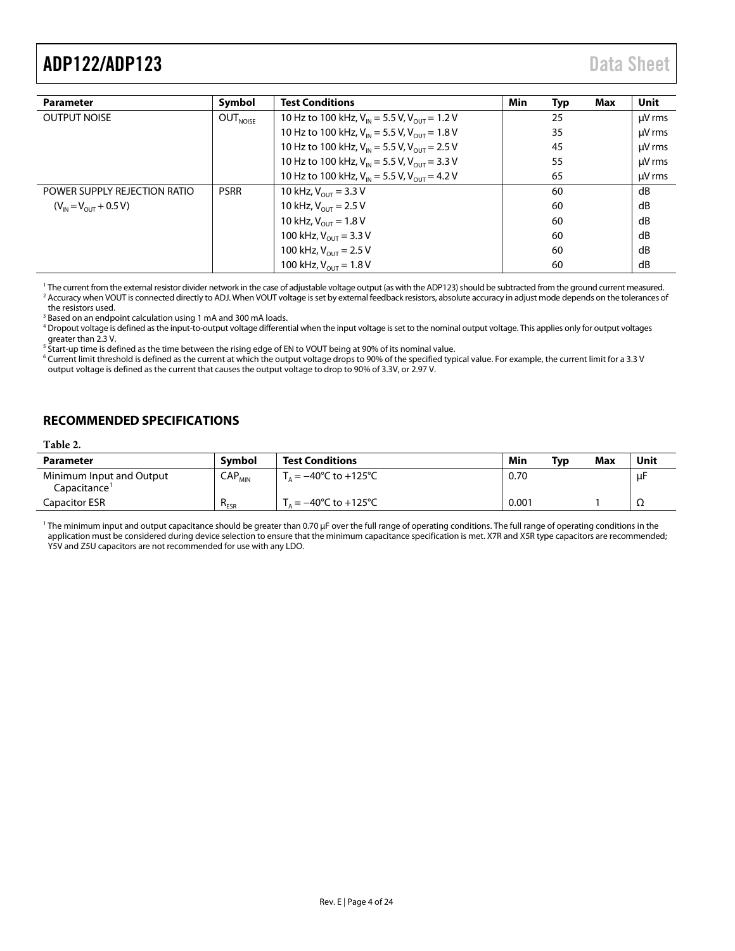<span id="page-3-1"></span>

| <b>Parameter</b>             | Symbol               | <b>Test Conditions</b>                                              | Min | Typ | Max | Unit        |
|------------------------------|----------------------|---------------------------------------------------------------------|-----|-----|-----|-------------|
| <b>OUTPUT NOISE</b>          | OUT <sub>NOISE</sub> | 10 Hz to 100 kHz, $V_{in}$ = 5.5 V, $V_{out}$ = 1.2 V               |     | 25  |     | $\mu$ V rms |
|                              |                      | 10 Hz to 100 kHz, $V_{\text{IN}}$ = 5.5 V, $V_{\text{OUT}}$ = 1.8 V |     | 35  |     | $\mu$ V rms |
|                              |                      | 10 Hz to 100 kHz, $V_{\text{IN}}$ = 5.5 V, $V_{\text{OUT}}$ = 2.5 V |     | 45  |     | $\mu$ V rms |
|                              |                      | 10 Hz to 100 kHz, $V_{\text{IN}}$ = 5.5 V, $V_{\text{OUT}}$ = 3.3 V |     | 55  |     | $\mu$ V rms |
|                              |                      | 10 Hz to 100 kHz, $V_{\text{IN}}$ = 5.5 V, $V_{\text{OUT}}$ = 4.2 V |     | 65  |     | $\mu$ V rms |
| POWER SUPPLY REJECTION RATIO | <b>PSRR</b>          | 10 kHz, $V_{OUT}$ = 3.3 V                                           |     | 60  |     | dB          |
| $(V_{N} = V_{OUT} + 0.5 V)$  |                      | 10 kHz, $V_{OUT}$ = 2.5 V                                           |     | 60  |     | dB          |
|                              |                      | 10 kHz, $V_{OUT}$ = 1.8 V                                           |     | 60  |     | dB          |
|                              |                      | 100 kHz, $V_{OUT}$ = 3.3 V                                          |     | 60  |     | dB          |
|                              |                      | 100 kHz, $V_{OUT}$ = 2.5 V                                          |     | 60  |     | dB          |
|                              |                      | 100 kHz, $V_{OUT}$ = 1.8 V                                          |     | 60  |     | dB          |

<sup>1</sup> The current from the external resistor divider network in the case of adjustable voltage output (as with the ADP123) should be subtracted from the ground current measured. <sup>2</sup> Accuracy when VOUT is connected directly to ADJ. When VOUT voltage is set by external feedback resistors, absolute accuracy in adjust mode depends on the tolerances of the resistors used.

<sup>3</sup> Based on an endpoint calculation using 1 mA and 300 mA loads.

<sup>4</sup> Dropout voltage is defined as the input-to-output voltage differential when the input voltage is set to the nominal output voltage. This applies only for output voltages greater than 2.3 V.

 $5$  Start-up time is defined as the time between the rising edge of EN to VOUT being at 90% of its nominal value.

<sup>6</sup> Current limit threshold is defined as the current at which the output voltage drops to 90% of the specified typical value. For example, the current limit for a 3.3 V output voltage is defined as the current that causes the output voltage to drop to 90% of 3.3V, or 2.97 V.

## <span id="page-3-0"></span>**RECOMMENDED SPECIFICATIONS**

## **Table 2.**

| <b>Parameter</b>                                     | <b>Symbol</b>               | <b>Test Conditions</b>                     | Min   | Tvp | Max | Unit |
|------------------------------------------------------|-----------------------------|--------------------------------------------|-------|-----|-----|------|
| Minimum Input and Output<br>Capacitance <del>'</del> | $\mathsf{CAP}_\mathsf{MIN}$ | $T_a = -40^{\circ}$ C to +125 $^{\circ}$ C | 0.70  |     |     | μF   |
| Capacitor ESR                                        | $R_{ESR}$                   | $= -40^{\circ}$ C to $+125^{\circ}$ C      | 0.001 |     |     | 77   |

<sup>1</sup> The minimum input and output capacitance should be greater than 0.70 µF over the full range of operating conditions. The full range of operating conditions in the application must be considered during device selection to ensure that the minimum capacitance specification is met. X7R and X5R type capacitors are recommended; Y5V and Z5U capacitors are not recommended for use with any LDO.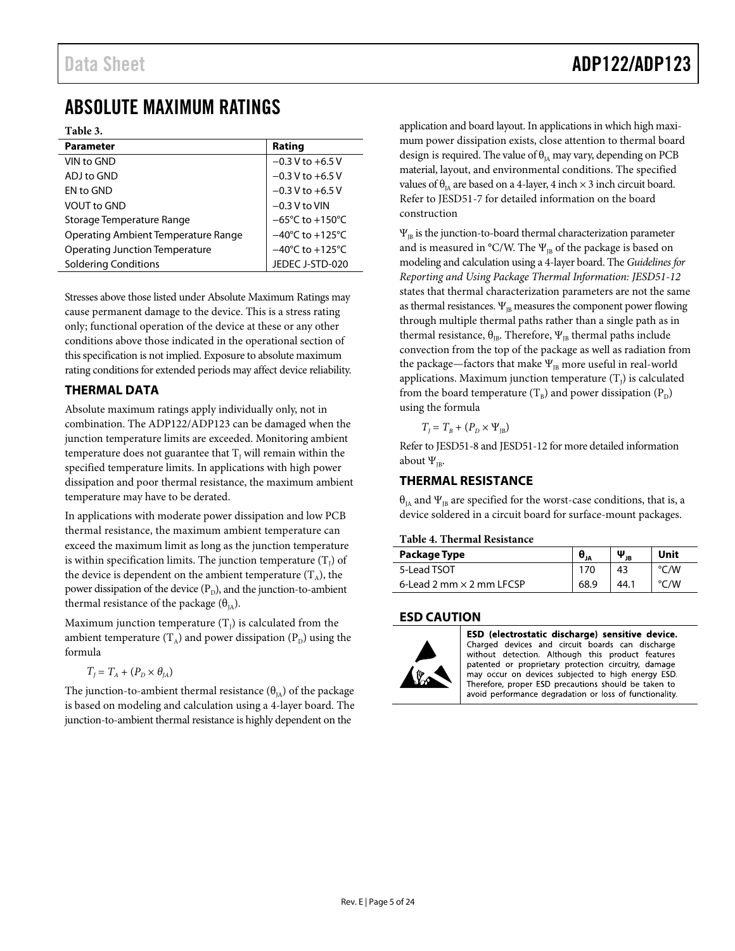# <span id="page-4-0"></span>ABSOLUTE MAXIMUM RATINGS

**Table 3.** 

| <b>Parameter</b>                    | Rating                              |
|-------------------------------------|-------------------------------------|
| VIN to GND                          | $-0.3$ V to $+6.5$ V                |
| ADJ to GND                          | $-0.3$ V to $+6.5$ V                |
| FN to GND                           | $-0.3$ V to $+6.5$ V                |
| <b>VOUT to GND</b>                  | $-0.3$ V to VIN                     |
| Storage Temperature Range           | $-65^{\circ}$ C to $+150^{\circ}$ C |
| Operating Ambient Temperature Range | $-40^{\circ}$ C to $+125^{\circ}$ C |
| Operating Junction Temperature      | $-40^{\circ}$ C to $+125^{\circ}$ C |
| <b>Soldering Conditions</b>         | JEDEC J-STD-020                     |

Stresses above those listed under Absolute Maximum Ratings may cause permanent damage to the device. This is a stress rating only; functional operation of the device at these or any other conditions above those indicated in the operational section of this specification is not implied. Exposure to absolute maximum rating conditions for extended periods may affect device reliability.

## <span id="page-4-1"></span>**THERMAL DATA**

Absolute maximum ratings apply individually only, not in combination. The ADP122/ADP123 can be damaged when the junction temperature limits are exceeded. Monitoring ambient temperature does not guarantee that  $T<sub>I</sub>$  will remain within the specified temperature limits. In applications with high power dissipation and poor thermal resistance, the maximum ambient temperature may have to be derated.

In applications with moderate power dissipation and low PCB thermal resistance, the maximum ambient temperature can exceed the maximum limit as long as the junction temperature is within specification limits. The junction temperature  $(T_j)$  of the device is dependent on the ambient temperature  $(T_A)$ , the power dissipation of the device  $(P_D)$ , and the junction-to-ambient thermal resistance of the package  $(\theta_{IA})$ .

Maximum junction temperature  $(T_j)$  is calculated from the ambient temperature  $(T_A)$  and power dissipation  $(P_D)$  using the formula

$$
T_J = T_A + (P_D \times \theta_{JA})
$$

The junction-to-ambient thermal resistance ( $\theta_{IA}$ ) of the package is based on modeling and calculation using a 4-layer board. The junction-to-ambient thermal resistance is highly dependent on the

application and board layout. In applications in which high maximum power dissipation exists, close attention to thermal board design is required. The value of  $\theta_{\text{IA}}$  may vary, depending on PCB material, layout, and environmental conditions. The specified values of  $\theta_{IA}$  are based on a 4-layer, 4 inch  $\times$  3 inch circuit board. Refer to JESD51-7 for detailed information on the board construction

 $\Psi_{\text{IB}}$  is the junction-to-board thermal characterization parameter and is measured in °C/W. The  $\Psi_{\text{IB}}$  of the package is based on modeling and calculation using a 4-layer board. The *Guidelines for Reporting and Using Package Thermal Information: JESD51-12* states that thermal characterization parameters are not the same as thermal resistances.  $\Psi_{\text{IB}}$  measures the component power flowing through multiple thermal paths rather than a single path as in thermal resistance,  $θ_{IB}$ . Therefore, Ψ<sub>IB</sub> thermal paths include convection from the top of the package as well as radiation from the package—factors that make  $\Psi_{IB}$  more useful in real-world applications. Maximum junction temperature  $(T<sub>j</sub>)$  is calculated from the board temperature  $(T_B)$  and power dissipation  $(P_D)$ using the formula

 $T_I = T_B + (P_D \times \Psi_B)$ 

Refer to JESD51-8 and JESD51-12 for more detailed information about  $\Psi_{IB}$ .

## <span id="page-4-2"></span>**THERMAL RESISTANCE**

 $\theta_{IA}$  and  $\Psi_{IB}$  are specified for the worst-case conditions, that is, a device soldered in a circuit board for surface-mount packages.

## **Table 4. Thermal Resistance**

| Package Type                    | $\bm{\theta}_{\texttt{JA}}$ | $\bm{\Psi}_{\texttt{JB}}$ | Unit             |
|---------------------------------|-----------------------------|---------------------------|------------------|
| 5-Lead TSOT                     | 170                         | 43                        | °C/W             |
| 6-Lead 2 mm $\times$ 2 mm LECSP | 68.9                        | 44.1                      | $\sim$ /W $\sim$ |

## <span id="page-4-3"></span>**ESD CAUTION**



ESD (electrostatic discharge) sensitive device. Charged devices and circuit boards can discharge without detection. Although this product features patented or proprietary protection circuitry, damage may occur on devices subjected to high energy ESD. Therefore, proper ESD precautions should be taken to avoid performance degradation or loss of functionality.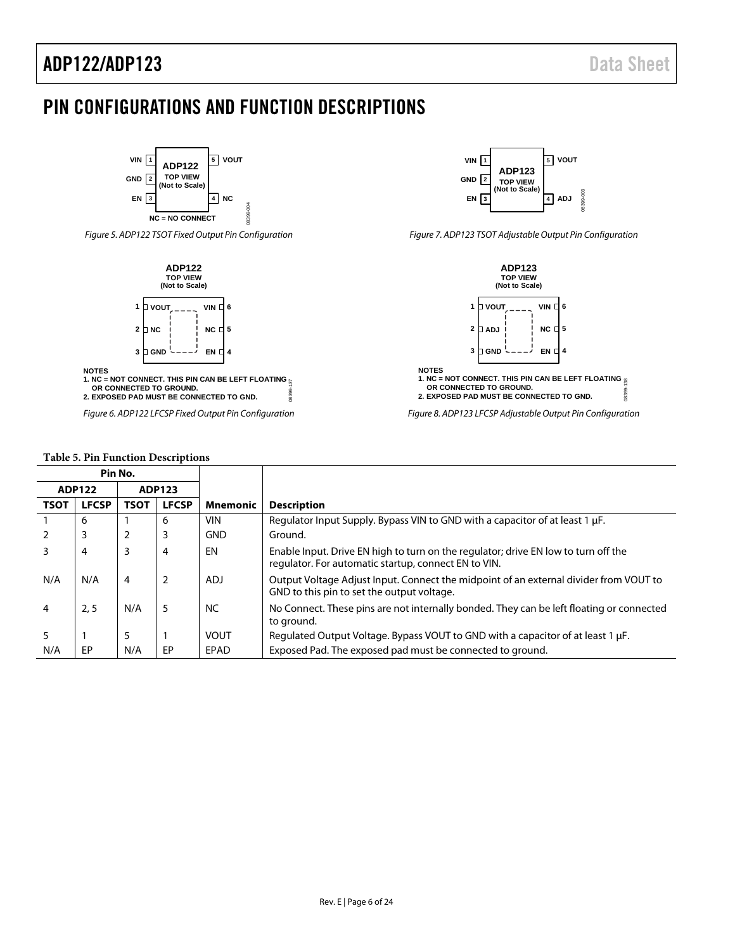# <span id="page-5-0"></span>PIN CONFIGURATIONS AND FUNCTION DESCRIPTIONS



*Figure 5. ADP122 TSOT Fixed Output Pin Configuration* 



**NOTES**

**1. NC = NOT CONNECT. THIS PIN CAN BE LEFT FLOATING** 08399-137  **OR CONNECTED TO GROUND. 2. EXPOSED PAD MUST BE CONNECTED TO GND. DR39** 

*Figure 6. ADP122 LFCSP Fixed Output Pin Configuration*

## **Table 5. Pin Function Descriptions**



*Figure 7. ADP123 TSOT Adjustable Output Pin Configuration*



<span id="page-5-1"></span>

| Pin No.                        |              |                |              |                 |                                                                                                                                            |
|--------------------------------|--------------|----------------|--------------|-----------------|--------------------------------------------------------------------------------------------------------------------------------------------|
| <b>ADP122</b><br><b>ADP123</b> |              |                |              |                 |                                                                                                                                            |
| <b>TSOT</b>                    | <b>LFCSP</b> | TSOT           | <b>LFCSP</b> | <b>Mnemonic</b> | <b>Description</b>                                                                                                                         |
|                                | 6            |                | 6            | <b>VIN</b>      | Regulator Input Supply. Bypass VIN to GND with a capacitor of at least 1 µF.                                                               |
|                                | 3            | $\overline{2}$ | 3            | <b>GND</b>      | Ground.                                                                                                                                    |
|                                | 4            | 3              | 4            | EN              | Enable Input. Drive EN high to turn on the regulator; drive EN low to turn off the<br>regulator. For automatic startup, connect EN to VIN. |
| N/A                            | N/A          | $\overline{4}$ | 2            | <b>ADJ</b>      | Output Voltage Adjust Input. Connect the midpoint of an external divider from VOUT to<br>GND to this pin to set the output voltage.        |
|                                | 2, 5         | N/A            | 5            | <b>NC</b>       | No Connect. These pins are not internally bonded. They can be left floating or connected<br>to ground.                                     |
|                                |              | 5              |              | <b>VOUT</b>     | Regulated Output Voltage. Bypass VOUT to GND with a capacitor of at least 1 $\mu$ F.                                                       |
| N/A                            | EP           | N/A            | EP           | EPAD            | Exposed Pad. The exposed pad must be connected to ground.                                                                                  |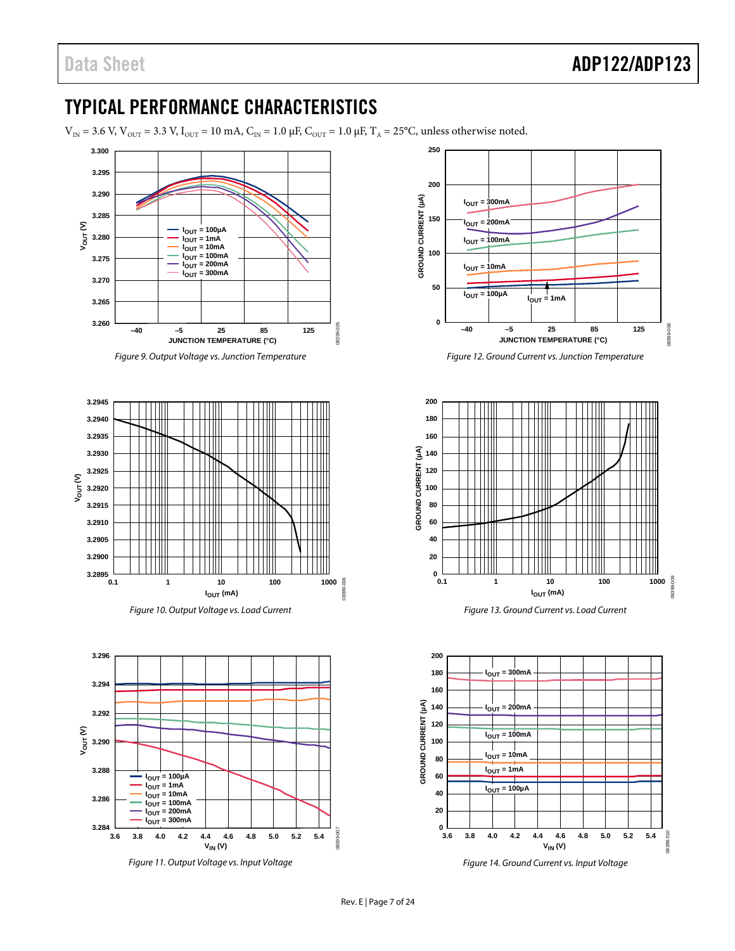# <span id="page-6-0"></span>TYPICAL PERFORMANCE CHARACTERISTICS

 $V_{IN} = 3.6$  V,  $V_{OUT} = 3.3$  V,  $I_{OUT} = 10$  mA,  $C_{IN} = 1.0$   $\mu$ F,  $C_{OUT} = 1.0$   $\mu$ F,  $T_A = 25$ °C, unless otherwise noted.



*Figure 9. Output Voltage vs. Junction Temperature*









*Figure 12. Ground Current vs. Junction Temperature*



*Figure 13. Ground Current vs. Load Current*



*Figure 14. Ground Current vs. Input Voltage*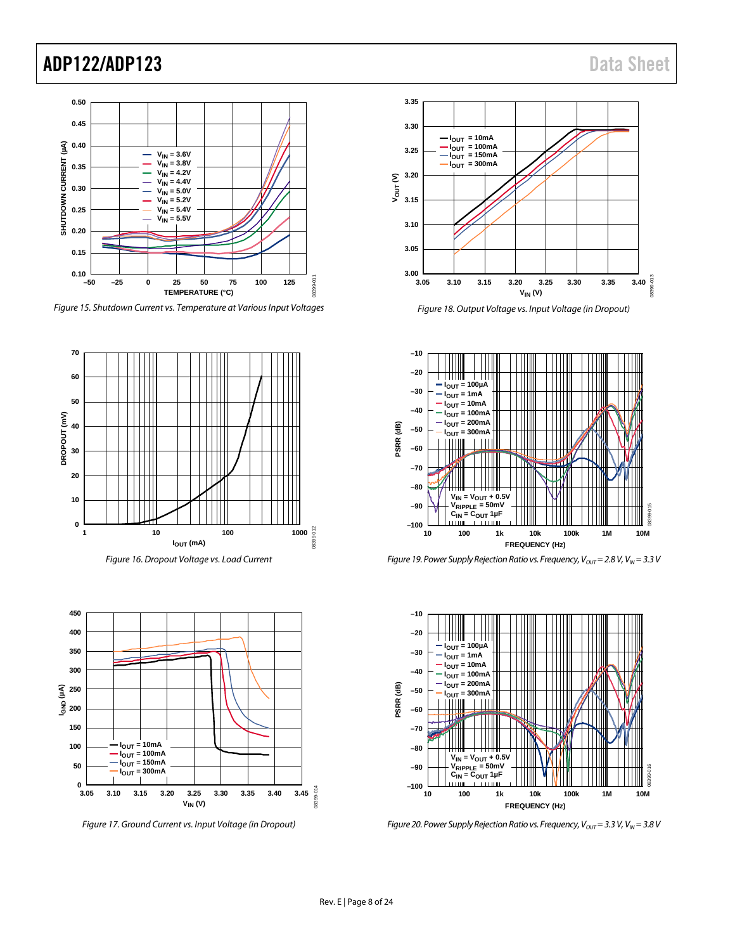

*Figure 15. Shutdown Current vs. Temperature at Various Input Voltages*



*Figure 16. Dropout Voltage vs. Load Current*



*Figure 17. Ground Current vs. Input Voltage (in Dropout)*



*Figure 18. Output Voltage vs. Input Voltage (in Dropout)*



*Figure 19. Power Supply Rejection Ratio vs. Frequency, V<sub>OUT</sub> = 2.8 V, V<sub>IN</sub> = 3.3 V* 



*Figure 20. Power Supply Rejection Ratio vs. Frequency, V<sub>OUT</sub> = 3.3 V, V<sub>IN</sub> = 3.8 V*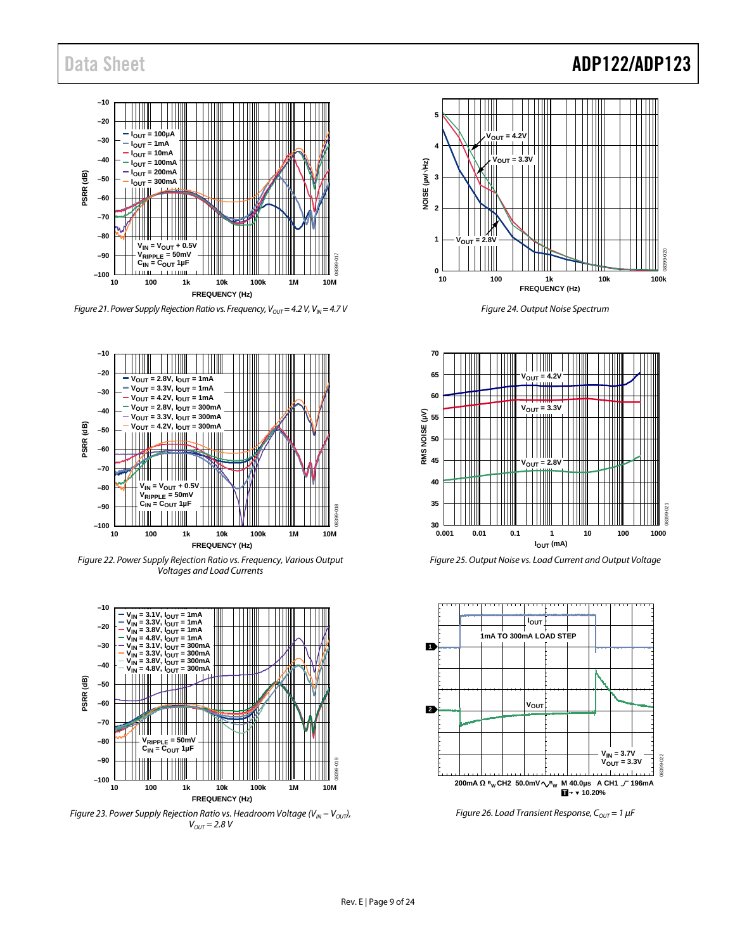# Data Sheet **ADP122/ADP123**



*Figure 21. Power Supply Rejection Ratio vs. Frequency, V<sub>OUT</sub> = 4.2 V, V<sub>IN</sub> = 4.7 V* 



*Figure 22. Power Supply Rejection Ratio vs. Frequency, Various Output Voltages and Load Currents*



*Figure 23. Power Supply Rejection Ratio vs. Headroom Voltage (V<sub>IN</sub> − V<sub>OUT</sub>)*,  $V_{OUT} = 2.8 V$ 



*Figure 24. Output Noise Spectrum*



*Figure 25. Output Noise vs. Load Current and Output Voltage*



*Figure 26. Load Transient Response, C<sub>OUT</sub> = 1 μF*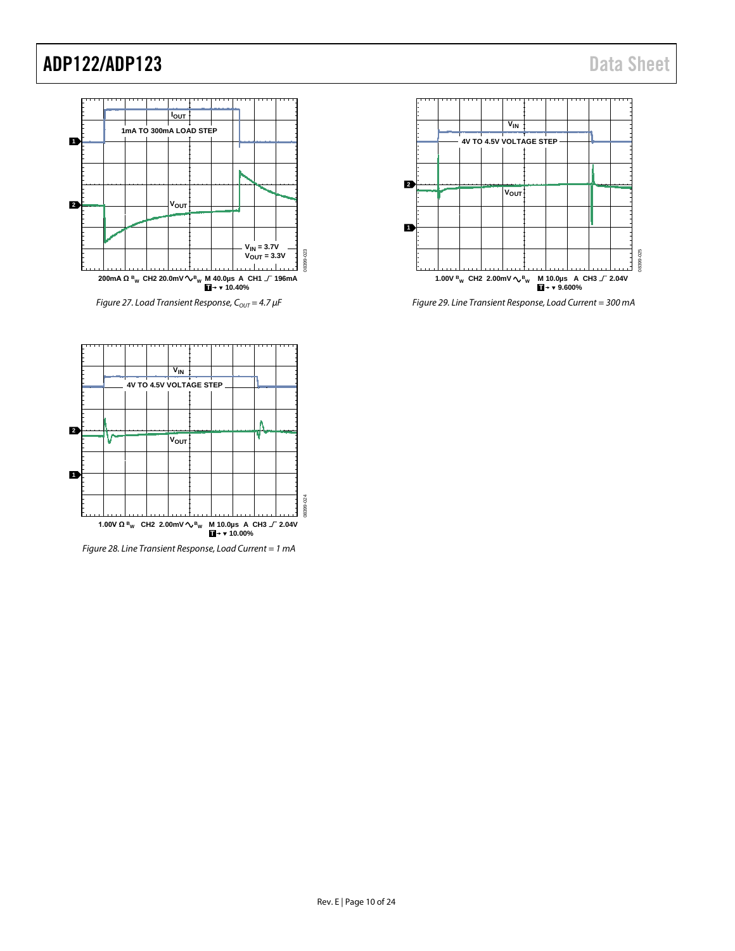

*Figure 27. Load Transient Response, C<sub>OUT</sub> = 4.7 μF* 



*Figure 29. Line Transient Response, Load Current = 300 mA*



*Figure 28. Line Transient Response, Load Current = 1 mA*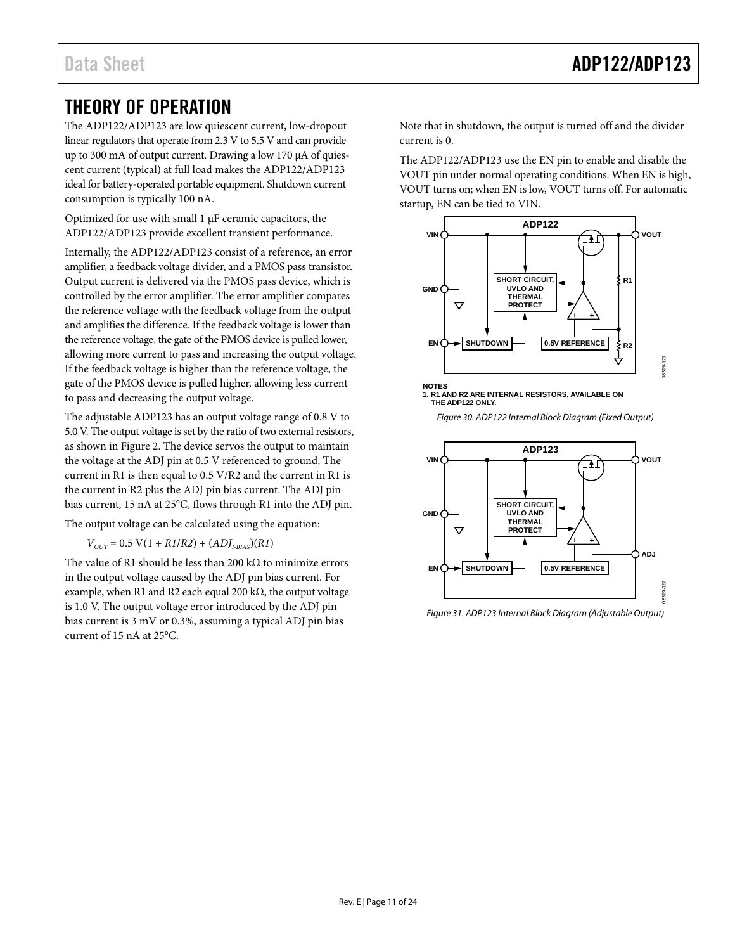# <span id="page-10-0"></span>THEORY OF OPERATION

The ADP122/ADP123 are low quiescent current, low-dropout linear regulators that operate from 2.3 V to 5.5 V and can provide up to 300 mA of output current. Drawing a low 170 µA of quiescent current (typical) at full load makes the ADP122/ADP123 ideal for battery-operated portable equipment. Shutdown current consumption is typically 100 nA.

Optimized for use with small 1 µF ceramic capacitors, the ADP122/ADP123 provide excellent transient performance.

Internally, the ADP122/ADP123 consist of a reference, an error amplifier, a feedback voltage divider, and a PMOS pass transistor. Output current is delivered via the PMOS pass device, which is controlled by the error amplifier. The error amplifier compares the reference voltage with the feedback voltage from the output and amplifies the difference. If the feedback voltage is lower than the reference voltage, the gate of the PMOS device is pulled lower, allowing more current to pass and increasing the output voltage. If the feedback voltage is higher than the reference voltage, the gate of the PMOS device is pulled higher, allowing less current to pass and decreasing the output voltage.

The adjustable ADP123 has an output voltage range of 0.8 V to 5.0 V. The output voltage is set by the ratio of two external resistors, as shown in [Figure 2.](#page-0-4) The device servos the output to maintain the voltage at the ADJ pin at 0.5 V referenced to ground. The current in R1 is then equal to 0.5 V/R2 and the current in R1 is the current in R2 plus the ADJ pin bias current. The ADJ pin bias current, 15 nA at 25°C, flows through R1 into the ADJ pin.

The output voltage can be calculated using the equation:

 $V_{OUT} = 0.5 \text{ V} (1 + R1/R2) + (ADJ_{IBIAS})(R1)$ 

The value of R1 should be less than 200 k $\Omega$  to minimize errors in the output voltage caused by the ADJ pin bias current. For example, when R1 and R2 each equal 200 k $\Omega$ , the output voltage is 1.0 V. The output voltage error introduced by the ADJ pin bias current is 3 mV or 0.3%, assuming a typical ADJ pin bias current of 15 nA at 25°C.

Note that in shutdown, the output is turned off and the divider current is 0.

The ADP122/ADP123 use the EN pin to enable and disable the VOUT pin under normal operating conditions. When EN is high, VOUT turns on; when EN is low, VOUT turns off. For automatic startup, EN can be tied to VIN.



**NOTES 1. R1 AND R2 ARE INTERNAL RESISTORS, AVAILABLE ON THE ADP122 ONLY.**





*Figure 31. ADP123 Internal Block Diagram (Adjustable Output)*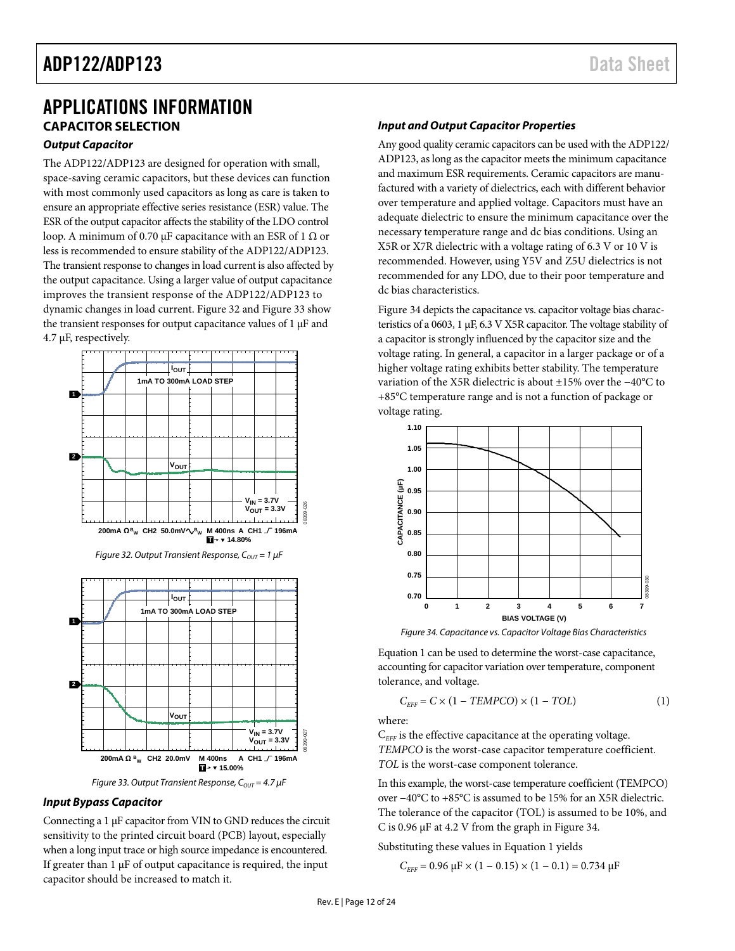## <span id="page-11-0"></span>APPLICATIONS INFORMATION **CAPACITOR SELECTION**

## <span id="page-11-1"></span>*Output Capacitor*

The ADP122/ADP123 are designed for operation with small, space-saving ceramic capacitors, but these devices can function with most commonly used capacitors as long as care is taken to ensure an appropriate effective series resistance (ESR) value. The ESR of the output capacitor affects the stability of the LDO control loop. A minimum of 0.70 μF capacitance with an ESR of 1 Ω or less is recommended to ensure stability of the ADP122/ADP123. The transient response to changes in load current is also affected by the output capacitance. Using a larger value of output capacitance improves the transient response of the ADP122/ADP123 to dynamic changes in load current[. Figure 32](#page-11-2) an[d Figure 33](#page-11-3) show the transient responses for output capacitance values of  $1 \mu$ F and 4.7 µF, respectively.

<span id="page-11-2"></span>

## <span id="page-11-3"></span>*Input Bypass Capacitor*

Connecting a 1 µF capacitor from VIN to GND reduces the circuit sensitivity to the printed circuit board (PCB) layout, especially when a long input trace or high source impedance is encountered. If greater than  $1 \mu$ F of output capacitance is required, the input capacitor should be increased to match it.

## *Input and Output Capacitor Properties*

Any good quality ceramic capacitors can be used with the ADP122/ ADP123, as long as the capacitor meets the minimum capacitance and maximum ESR requirements. Ceramic capacitors are manufactured with a variety of dielectrics, each with different behavior over temperature and applied voltage. Capacitors must have an adequate dielectric to ensure the minimum capacitance over the necessary temperature range and dc bias conditions. Using an X5R or X7R dielectric with a voltage rating of 6.3 V or 10 V is recommended. However, using Y5V and Z5U dielectrics is not recommended for any LDO, due to their poor temperature and dc bias characteristics.

[Figure 34](#page-11-4) depicts the capacitance vs. capacitor voltage bias characteristics of a 0603, 1 µF, 6.3 V X5R capacitor. The voltage stability of a capacitor is strongly influenced by the capacitor size and the voltage rating. In general, a capacitor in a larger package or of a higher voltage rating exhibits better stability. The temperature variation of the X5R dielectric is about ±15% over the −40°C to +85°C temperature range and is not a function of package or voltage rating.



*Figure 34. Capacitance vs. Capacitor Voltage Bias Characteristics*

<span id="page-11-4"></span>Equation 1 can be used to determine the worst-case capacitance, accounting for capacitor variation over temperature, component tolerance, and voltage.

$$
C_{\text{EFF}} = C \times (1 - TEMPCO) \times (1 - TOL) \tag{1}
$$

where:

C<sub>FFF</sub> is the effective capacitance at the operating voltage. *TEMPCO* is the worst-case capacitor temperature coefficient. *TOL* is the worst-case component tolerance.

In this example, the worst-case temperature coefficient (TEMPCO) over −40°C to +85°C is assumed to be 15% for an X5R dielectric. The tolerance of the capacitor (TOL) is assumed to be 10%, and C is 0.96 μF at 4.2 V from the graph in [Figure 34.](#page-11-4)

Substituting these values in Equation 1 yields

$$
C_{\text{EFF}} = 0.96 \, \mu \text{F} \times (1 - 0.15) \times (1 - 0.1) = 0.734 \, \mu \text{F}
$$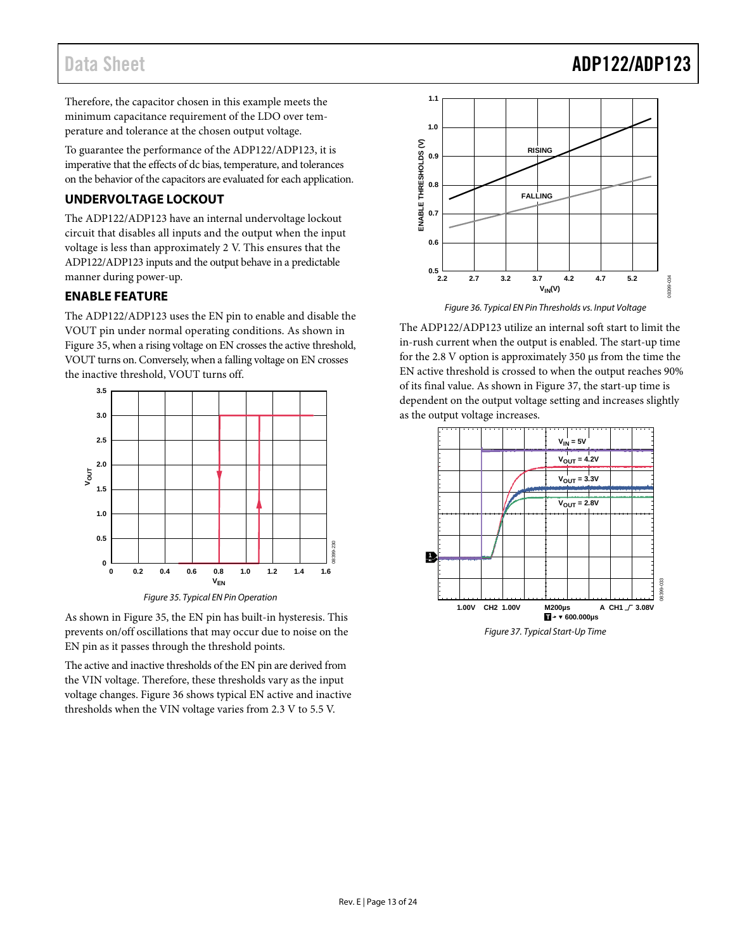# Data Sheet **ADP122/ADP123**

Therefore, the capacitor chosen in this example meets the minimum capacitance requirement of the LDO over temperature and tolerance at the chosen output voltage.

To guarantee the performance of the ADP122/ADP123, it is imperative that the effects of dc bias, temperature, and tolerances on the behavior of the capacitors are evaluated for each application.

## <span id="page-12-0"></span>**UNDERVOLTAGE LOCKOUT**

The ADP122/ADP123 have an internal undervoltage lockout circuit that disables all inputs and the output when the input voltage is less than approximately 2 V. This ensures that the ADP122/ADP123 inputs and the output behave in a predictable manner during power-up.

## <span id="page-12-1"></span>**ENABLE FEATURE**

The ADP122/ADP123 uses the EN pin to enable and disable the VOUT pin under normal operating conditions. As shown in [Figure 35,](#page-12-2) when a rising voltage on EN crosses the active threshold, VOUT turns on. Conversely, when a falling voltage on EN crosses the inactive threshold, VOUT turns off.



*Figure 35. Typical EN Pin Operation*

<span id="page-12-2"></span>As shown in [Figure 35,](#page-12-2) the EN pin has built-in hysteresis. This prevents on/off oscillations that may occur due to noise on the EN pin as it passes through the threshold points.

The active and inactive thresholds of the EN pin are derived from the VIN voltage. Therefore, these thresholds vary as the input voltage changes[. Figure 36](#page-12-3) shows typical EN active and inactive thresholds when the VIN voltage varies from 2.3 V to 5.5 V.



<span id="page-12-3"></span>The ADP122/ADP123 utilize an internal soft start to limit the in-rush current when the output is enabled. The start-up time for the 2.8 V option is approximately 350 µs from the time the EN active threshold is crossed to when the output reaches 90% of its final value. As shown i[n Figure 37,](#page-12-4) the start-up time is dependent on the output voltage setting and increases slightly as the output voltage increases.



<span id="page-12-4"></span>*Figure 37. Typical Start-Up Time*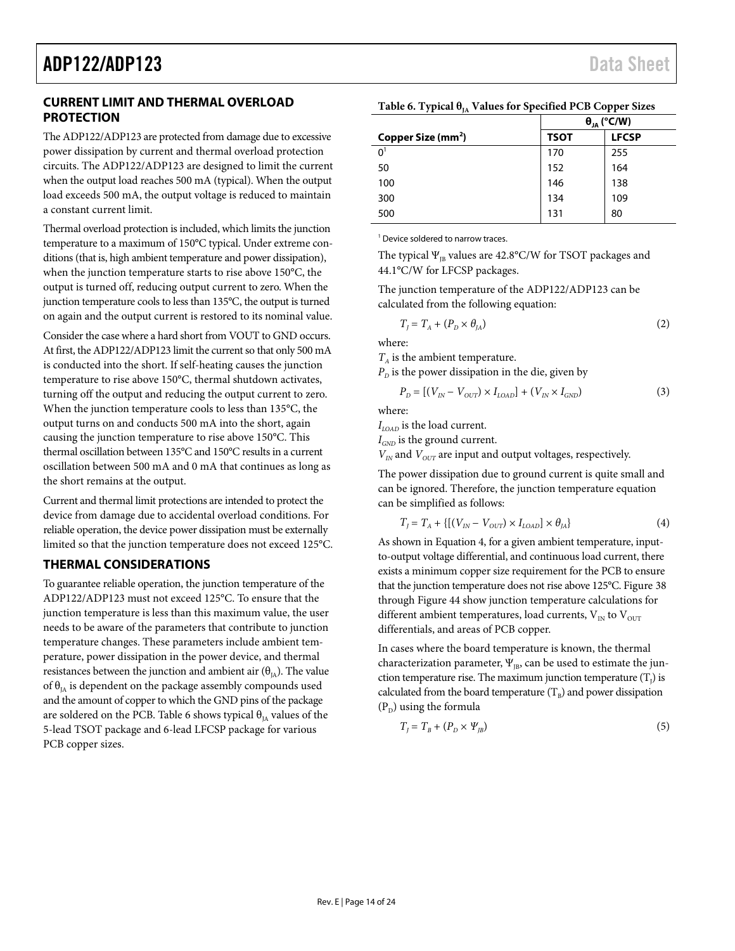## <span id="page-13-0"></span>**CURRENT LIMIT AND THERMAL OVERLOAD PROTECTION**

The ADP122/ADP123 are protected from damage due to excessive power dissipation by current and thermal overload protection circuits. The ADP122/ADP123 are designed to limit the current when the output load reaches 500 mA (typical). When the output load exceeds 500 mA, the output voltage is reduced to maintain a constant current limit.

Thermal overload protection is included, which limits the junction temperature to a maximum of 150°C typical. Under extreme conditions (that is, high ambient temperature and power dissipation), when the junction temperature starts to rise above 150°C, the output is turned off, reducing output current to zero. When the junction temperature cools to less than 135°C, the output is turned on again and the output current is restored to its nominal value.

Consider the case where a hard short from VOUT to GND occurs. At first, the ADP122/ADP123 limit the current so that only 500 mA is conducted into the short. If self-heating causes the junction temperature to rise above 150°C, thermal shutdown activates, turning off the output and reducing the output current to zero. When the junction temperature cools to less than 135°C, the output turns on and conducts 500 mA into the short, again causing the junction temperature to rise above 150°C. This thermal oscillation between 135°C and 150°C results in a current oscillation between 500 mA and 0 mA that continues as long as the short remains at the output.

Current and thermal limit protections are intended to protect the device from damage due to accidental overload conditions. For reliable operation, the device power dissipation must be externally limited so that the junction temperature does not exceed 125°C.

## <span id="page-13-1"></span>**THERMAL CONSIDERATIONS**

To guarantee reliable operation, the junction temperature of the ADP122/ADP123 must not exceed 125°C. To ensure that the junction temperature is less than this maximum value, the user needs to be aware of the parameters that contribute to junction temperature changes. These parameters include ambient temperature, power dissipation in the power device, and thermal resistances between the junction and ambient air  $(\theta_{IA})$ . The value of  $\theta_{IA}$  is dependent on the package assembly compounds used and the amount of copper to which the GND pins of the package are soldered on the PCB. [Table 6](#page-13-2) shows typical  $\theta_{IA}$  values of the 5-lead TSOT package and 6-lead LFCSP package for various PCB copper sizes.

|                                | $\theta_{JA}$ (°C/W) |              |  |
|--------------------------------|----------------------|--------------|--|
| Copper Size (mm <sup>2</sup> ) | <b>TSOT</b>          | <b>LFCSP</b> |  |
| 0 <sup>1</sup>                 | 170                  | 255          |  |
| 50                             | 152                  | 164          |  |
| 100                            | 146                  | 138          |  |
| 300                            | 134                  | 109          |  |
| 500                            | 131                  | 80           |  |

<span id="page-13-2"></span>**Table 6. Typical θ<sub>IA</sub> Values for Specified PCB Copper Sizes** 

<sup>1</sup> Device soldered to narrow traces.

The typical  $\Psi_{\text{IB}}$  values are 42.8°C/W for TSOT packages and 44.1°C/W for LFCSP packages.

The junction temperature of the ADP122/ADP123 can be calculated from the following equation:

$$
T_J = T_A + (P_D \times \theta_{JA})
$$
 (2)

where:

 $T_A$  is the ambient temperature.

 $P<sub>D</sub>$  is the power dissipation in the die, given by

$$
P_{D} = [(V_{IN} - V_{OUT}) \times I_{LOAD}] + (V_{IN} \times I_{GND}) \tag{3}
$$

where:

*ILOAD* is the load current.

*I<sub>GND</sub>* is the ground current.

 $V_{IN}$  and  $V_{OUT}$  are input and output voltages, respectively.

The power dissipation due to ground current is quite small and can be ignored. Therefore, the junction temperature equation can be simplified as follows:

$$
T_J = T_A + \{ [(V_{IN} - V_{OUT}) \times I_{LOAD}] \times \theta_{JA} \}
$$
\n
$$
(4)
$$

As shown in Equation 4, for a given ambient temperature, inputto-output voltage differential, and continuous load current, there exists a minimum copper size requirement for the PCB to ensure that the junction temperature does not rise above 125°C[. Figure 38](#page-14-1) through [Figure](#page-15-0) 44 show junction temperature calculations for different ambient temperatures, load currents,  $\rm V_{\rm IN}$  to  $\rm V_{\rm OUT}$ differentials, and areas of PCB copper.

In cases where the board temperature is known, the thermal characterization parameter,  $\Psi_{IB}$ , can be used to estimate the junction temperature rise. The maximum junction temperature  $(T<sub>j</sub>)$  is calculated from the board temperature  $(T_B)$  and power dissipation  $(P_D)$  using the formula

$$
T_{J} = T_{B} + (P_{D} \times \Psi_{JB})
$$
\n<sup>(5)</sup>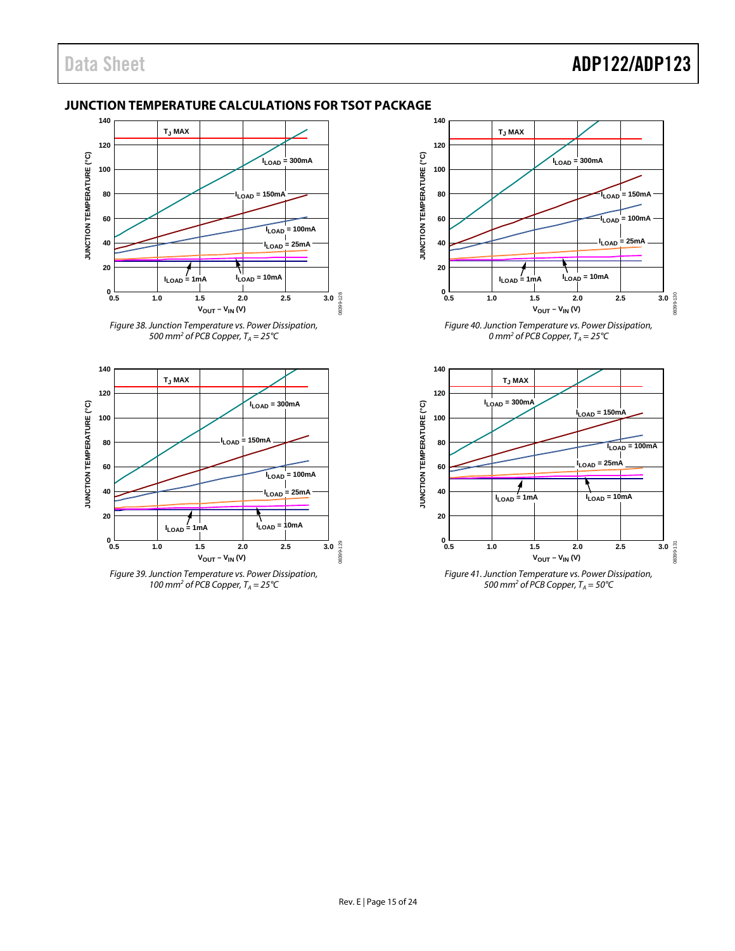## <span id="page-14-0"></span>**JUNCTION TEMPERATURE CALCULATIONS FOR TSOT PACKAGE**



<span id="page-14-1"></span>*Figure 38. Junction Temperature vs. Power Dissipation, 500 mm<sup>2</sup> of PCB Copper,*  $T_A = 25^{\circ}C$ 







*Figure 40. Junction Temperature vs. Power Dissipation,*  0 mm<sup>2</sup> of PCB Copper,  $T_A = 25^{\circ}$ C



*Figure 41. Junction Temperature vs. Power Dissipation, 500 mm<sup>2</sup> of PCB Copper,*  $T_A = 50^{\circ}$ C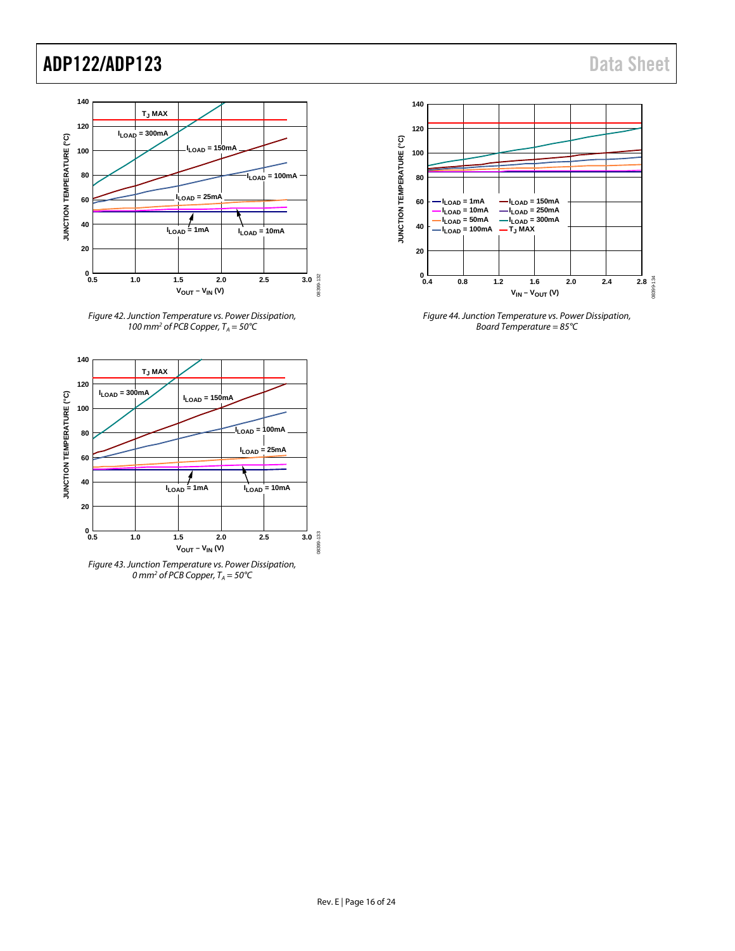





*Figure 43. Junction Temperature vs. Power Dissipation, 0* mm<sup>2</sup> of PCB Copper, T<sub>A</sub> = 50°C



<span id="page-15-0"></span>*Figure 44. Junction Temperature vs. Power Dissipation, Board Temperature = 85°C*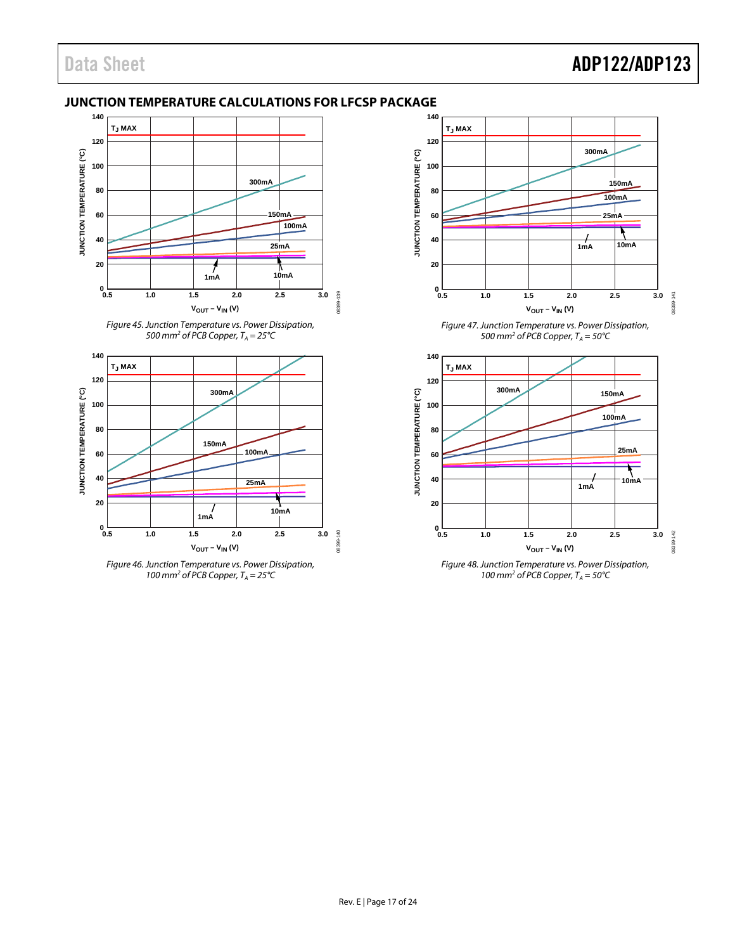## <span id="page-16-0"></span>**JUNCTION TEMPERATURE CALCULATIONS FOR LFCSP PACKAGE**







*Figure 46. Junction Temperature vs. Power Dissipation,*  100 mm<sup>2</sup> of PCB Copper,  $T_A = 25^{\circ}C$ 



*500 mm<sup>2</sup> of PCB Copper,*  $T_A = 50^{\circ}$ C



*Figure 48. Junction Temperature vs. Power Dissipation,*  100 mm<sup>2</sup> of PCB Copper,  $T_A = 50^{\circ}$ C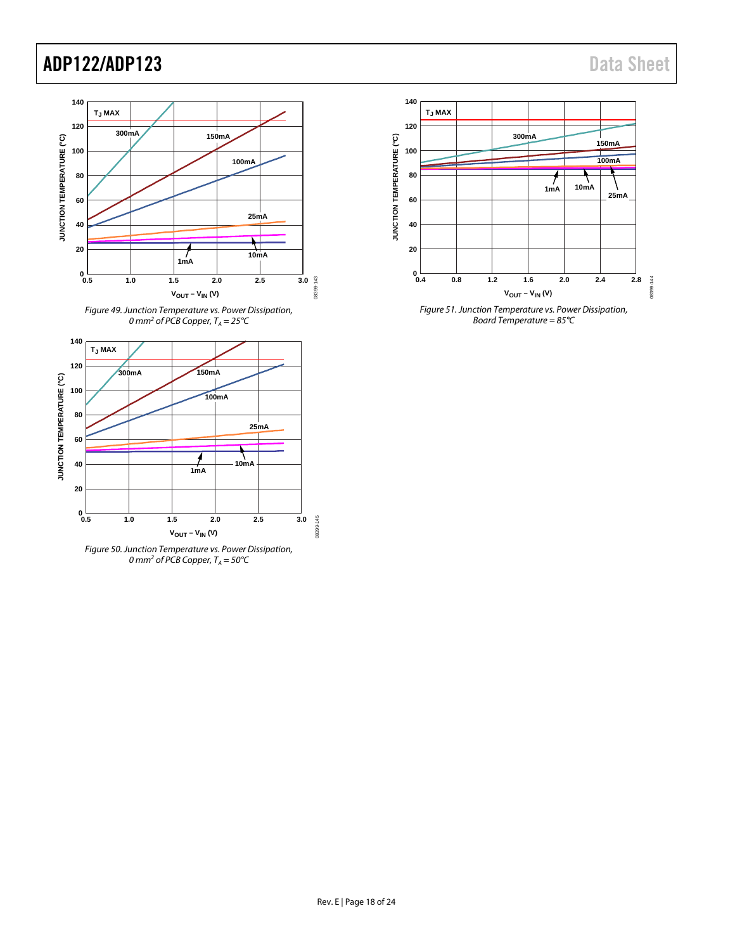





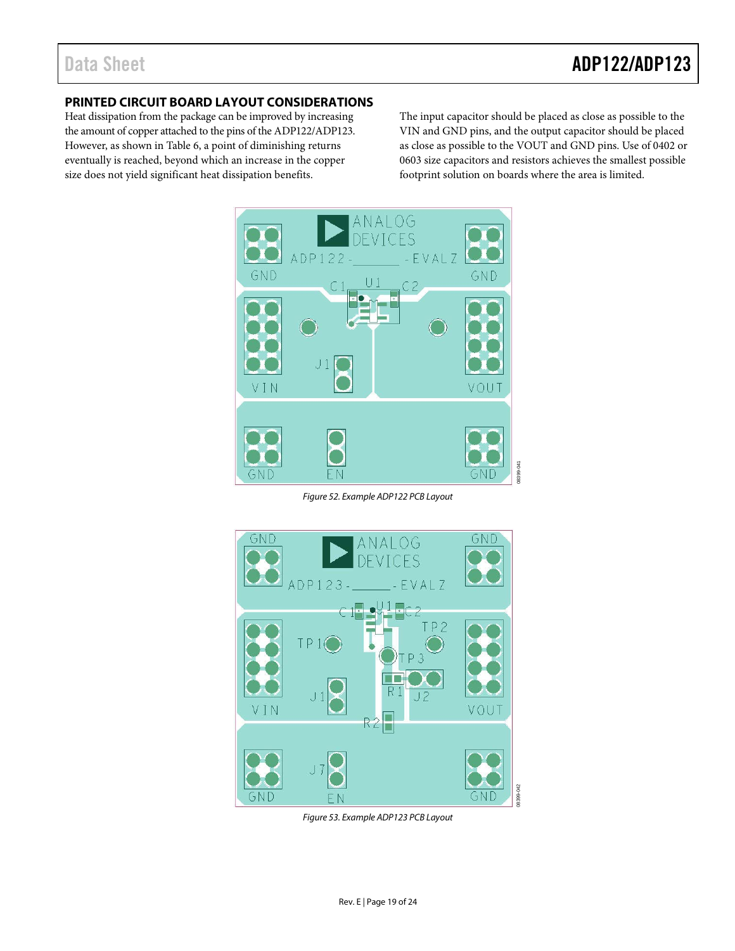## <span id="page-18-0"></span>**PRINTED CIRCUIT BOARD LAYOUT CONSIDERATIONS**

Heat dissipation from the package can be improved by increasing the amount of copper attached to the pins of the ADP122/ADP123. However, as shown i[n Table 6,](#page-13-2) a point of diminishing returns eventually is reached, beyond which an increase in the copper size does not yield significant heat dissipation benefits.

The input capacitor should be placed as close as possible to the VIN and GND pins, and the output capacitor should be placed as close as possible to the VOUT and GND pins. Use of 0402 or 0603 size capacitors and resistors achieves the smallest possible footprint solution on boards where the area is limited.



*Figure 52. Example ADP122 PCB Layout*



*Figure 53. Example ADP123 PCB Layout*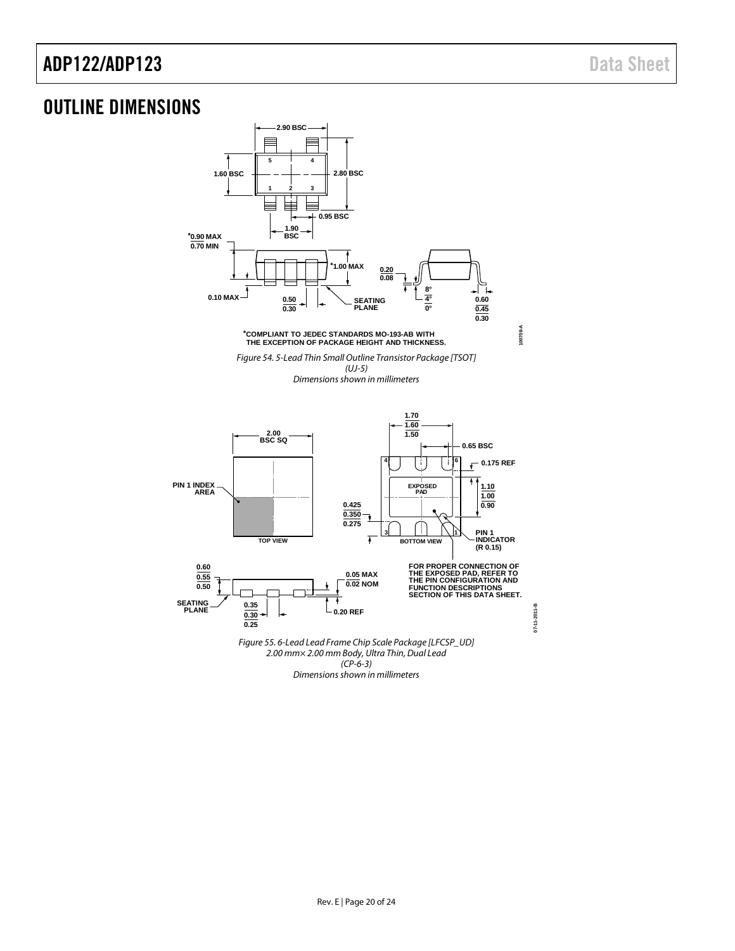# <span id="page-19-0"></span>OUTLINE DIMENSIONS

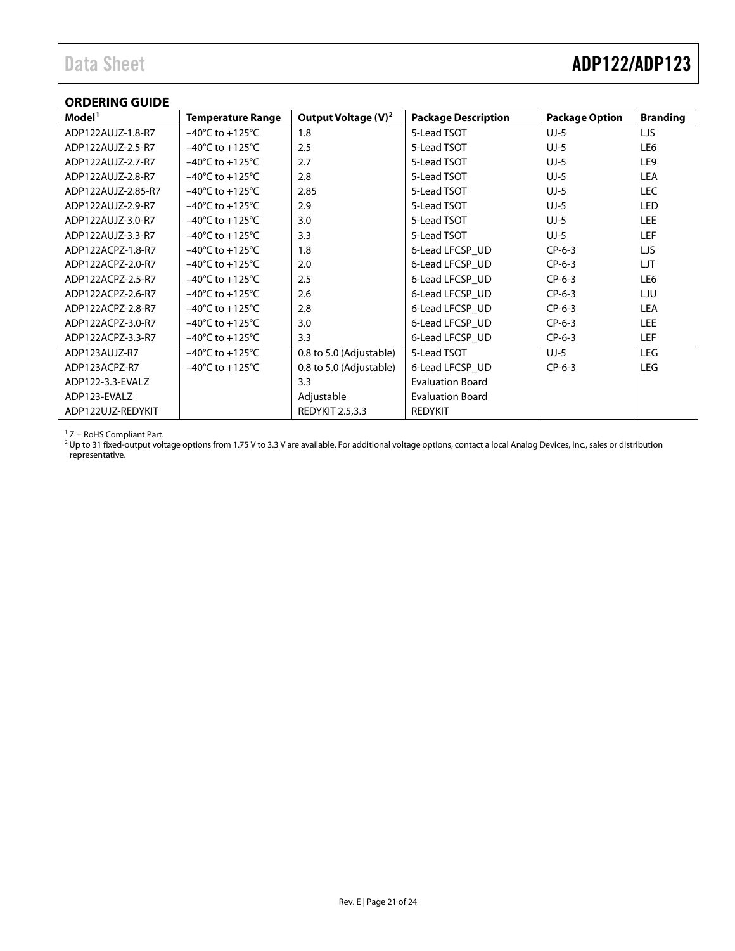# Data Sheet **ADP122/ADP123**

## <span id="page-20-0"></span>**ORDERING GUIDE**

| Model <sup>1</sup> | <b>Temperature Range</b>            | Output Voltage $(V)^2$  | <b>Package Description</b> | <b>Package Option</b> | <b>Branding</b> |
|--------------------|-------------------------------------|-------------------------|----------------------------|-----------------------|-----------------|
| ADP122AUJZ-1.8-R7  | $-40^{\circ}$ C to $+125^{\circ}$ C | 1.8                     | 5-Lead TSOT                | $UJ-5$                | LJS             |
| ADP122AUJZ-2.5-R7  | $-40^{\circ}$ C to $+125^{\circ}$ C | 2.5                     | 5-Lead TSOT                | $UJ-5$                | LE6             |
| ADP122AUJZ-2.7-R7  | $-40^{\circ}$ C to $+125^{\circ}$ C | 2.7                     | 5-Lead TSOT                | $UJ-5$                | LE <sub>9</sub> |
| ADP122AUJZ-2.8-R7  | $-40^{\circ}$ C to $+125^{\circ}$ C | 2.8                     | 5-Lead TSOT                | $UJ-5$                | <b>LEA</b>      |
| ADP122AUJZ-2.85-R7 | $-40^{\circ}$ C to $+125^{\circ}$ C | 2.85                    | 5-Lead TSOT                | $UJ-5$                | <b>LEC</b>      |
| ADP122AUJZ-2.9-R7  | $-40^{\circ}$ C to $+125^{\circ}$ C | 2.9                     | 5-Lead TSOT                | $UJ-5$                | LED             |
| ADP122AUJZ-3.0-R7  | $-40^{\circ}$ C to $+125^{\circ}$ C | 3.0                     | 5-Lead TSOT                | $UJ-5$                | <b>LEE</b>      |
| ADP122AUJZ-3.3-R7  | $-40^{\circ}$ C to $+125^{\circ}$ C | 3.3                     | 5-Lead TSOT                | $UJ-5$                | <b>LEF</b>      |
| ADP122ACPZ-1.8-R7  | $-40^{\circ}$ C to $+125^{\circ}$ C | 1.8                     | 6-Lead LFCSP UD            | $CP-6-3$              | LJS             |
| ADP122ACPZ-2.0-R7  | $-40^{\circ}$ C to $+125^{\circ}$ C | 2.0                     | 6-Lead LFCSP UD            | $CP-6-3$              | LJT             |
| ADP122ACPZ-2.5-R7  | $-40^{\circ}$ C to $+125^{\circ}$ C | 2.5                     | 6-Lead LFCSP UD            | $CP-6-3$              | LE6             |
| ADP122ACPZ-2.6-R7  | $-40^{\circ}$ C to $+125^{\circ}$ C | 2.6                     | 6-Lead LFCSP UD            | $CP-6-3$              | LJU             |
| ADP122ACPZ-2.8-R7  | $-40^{\circ}$ C to $+125^{\circ}$ C | 2.8                     | 6-Lead LFCSP UD            | $CP-6-3$              | <b>LEA</b>      |
| ADP122ACPZ-3.0-R7  | $-40^{\circ}$ C to $+125^{\circ}$ C | 3.0                     | 6-Lead LFCSP_UD            | $CP-6-3$              | <b>LEE</b>      |
| ADP122ACPZ-3.3-R7  | $-40^{\circ}$ C to $+125^{\circ}$ C | 3.3                     | 6-Lead LFCSP UD            | $CP-6-3$              | <b>LEF</b>      |
| ADP123AUJZ-R7      | $-40^{\circ}$ C to $+125^{\circ}$ C | 0.8 to 5.0 (Adjustable) | 5-Lead TSOT                | $UJ-5$                | <b>LEG</b>      |
| ADP123ACPZ-R7      | $-40^{\circ}$ C to $+125^{\circ}$ C | 0.8 to 5.0 (Adjustable) | 6-Lead LFCSP UD            | $CP-6-3$              | <b>LEG</b>      |
| ADP122-3.3-EVALZ   |                                     | 3.3                     | <b>Evaluation Board</b>    |                       |                 |
| ADP123-EVALZ       |                                     | Adjustable              | <b>Evaluation Board</b>    |                       |                 |
| ADP122UJZ-REDYKIT  |                                     | <b>REDYKIT 2.5,3.3</b>  | <b>REDYKIT</b>             |                       |                 |

 $1 Z =$  RoHS Compliant Part.

<sup>2</sup> Up to 31 fixed-output voltage options from 1.75 V to 3.3 V are available. For additional voltage options, contact a local Analog Devices, Inc., sales or distribution representative.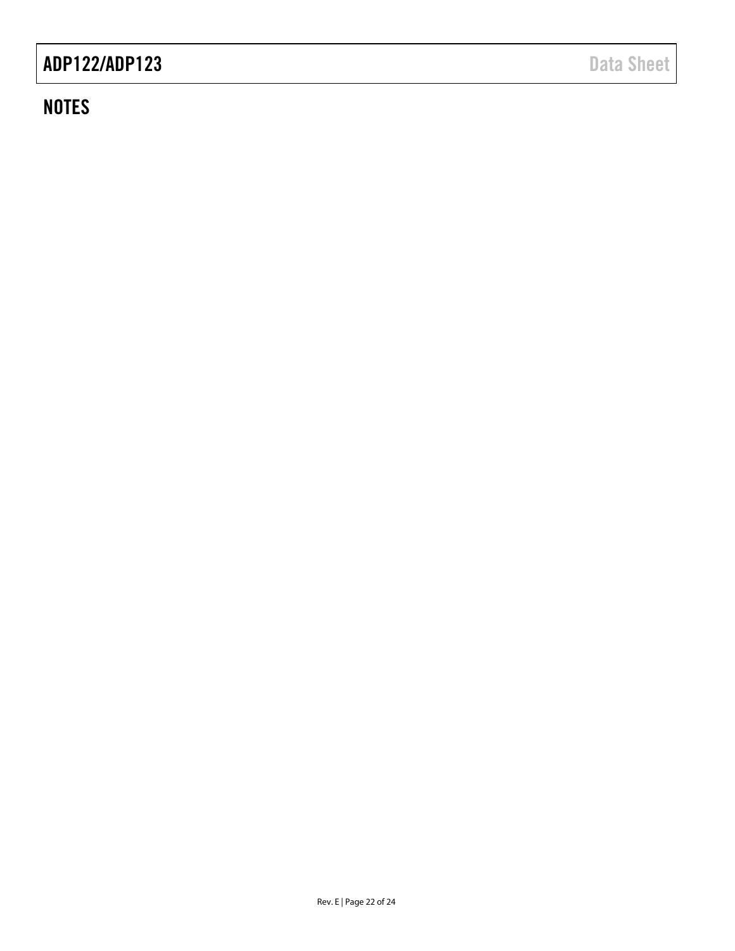# **NOTES**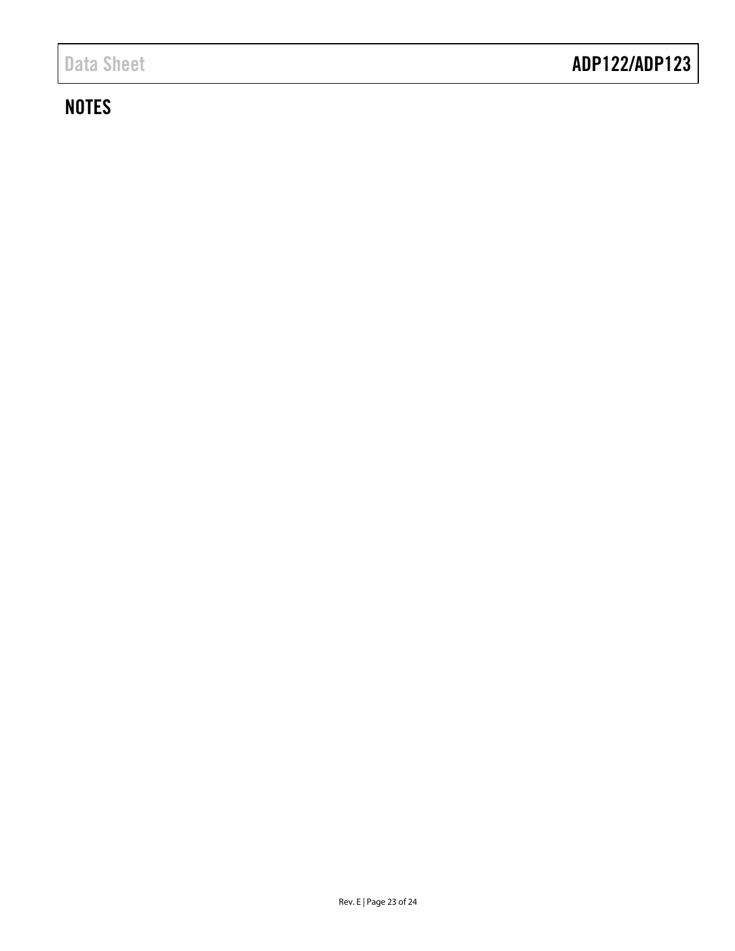# **NOTES**